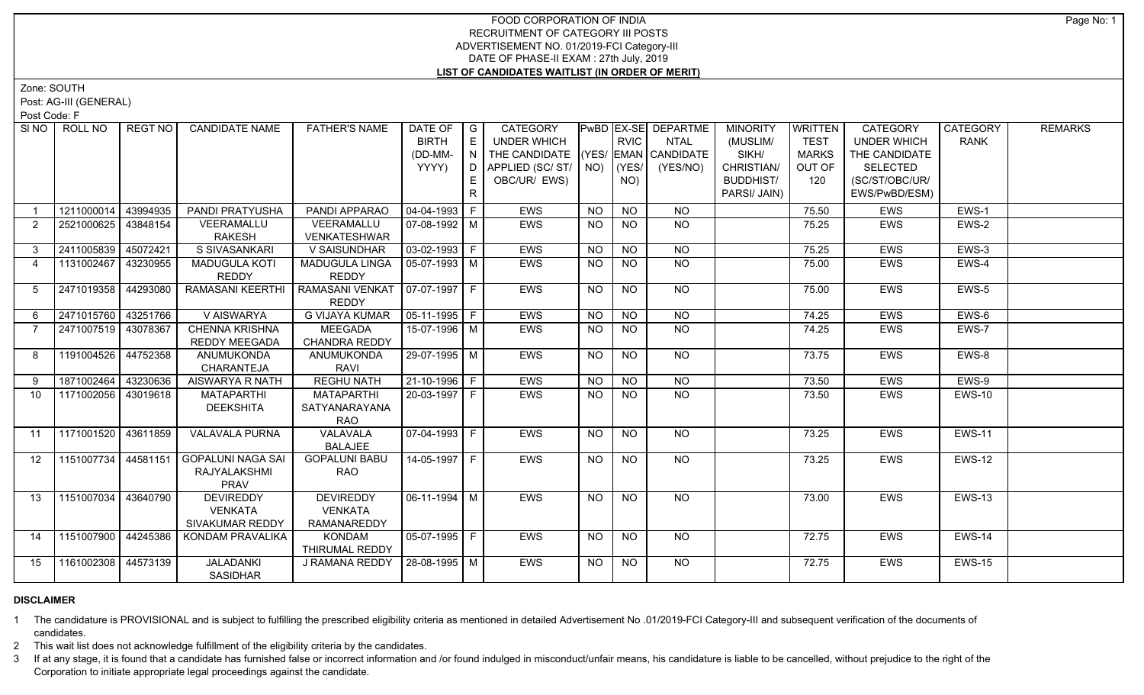## FOOD CORPORATION OF INDIA RECRUITMENT OF CATEGORY III POSTS ADVERTISEMENT NO. 01/2019-FCI Category-III DATE OF PHASE-II EXAM : 27th July, 2019 **LIST OF CANDIDATES WAITLIST (IN ORDER OF MERIT)**

Zone: SOUTH

Post: AG-III (GENERAL)

Post Code: F

| SI <sub>NO</sub> | ROLL NO             | <b>REGT NO</b> | <b>CANDIDATE NAME</b>    | <b>FATHER'S NAME</b>             | DATE OF $ G $<br><b>BIRTH</b> | E   | <b>CATEGORY</b><br>UNDER WHICH     |           | <b>RVIC</b>    | <b>PwBD EX-SE DEPARTME</b><br>NTAL | <b>MINORITY</b><br>(MUSLIM/ | <b>WRITTEN</b><br><b>TEST</b> | <b>CATEGORY</b><br><b>UNDER WHICH</b> | CATEGORY<br><b>RANK</b> | <b>REMARKS</b> |
|------------------|---------------------|----------------|--------------------------|----------------------------------|-------------------------------|-----|------------------------------------|-----------|----------------|------------------------------------|-----------------------------|-------------------------------|---------------------------------------|-------------------------|----------------|
|                  |                     |                |                          |                                  |                               |     |                                    |           |                |                                    | SIKH/                       |                               | THE CANDIDATE                         |                         |                |
|                  |                     |                |                          |                                  | (DD-MM-                       | IN. | THE CANDIDATE (YES/ EMAN CANDIDATE |           |                |                                    |                             | <b>MARKS</b>                  |                                       |                         |                |
|                  |                     |                |                          |                                  | YYYY)                         |     | D APPLIED (SC/ ST/   NO)           |           | (YES/          | (YES/NO)                           | CHRISTIAN/                  | OUT OF                        | <b>SELECTED</b>                       |                         |                |
|                  |                     |                |                          |                                  |                               | E.  | OBC/UR/ EWS)                       |           | NO)            |                                    | <b>BUDDHIST/</b>            | 120                           | (SC/ST/OBC/UR/                        |                         |                |
|                  |                     |                |                          |                                  |                               | R.  |                                    |           |                |                                    | PARSI/ JAIN)                |                               | EWS/PwBD/ESM)                         |                         |                |
|                  | 1211000014          | 43994935       | PANDI PRATYUSHA          | PANDI APPARAO                    | 04-04-1993 F                  |     | EWS                                | <b>NO</b> | <b>NO</b>      | <b>NO</b>                          |                             | 75.50                         | EWS                                   | EWS-1                   |                |
| $\overline{2}$   | 2521000625          | 43848154       | VEERAMALLU               | VEERAMALLU                       | $\sqrt{07-08-1992}$ M         |     | <b>EWS</b>                         | NO        | $N$ O          | N <sub>O</sub>                     |                             | 75.25                         | <b>EWS</b>                            | EWS-2                   |                |
|                  |                     |                | RAKESH                   | VENKATESHWAR                     |                               |     |                                    |           |                |                                    |                             |                               |                                       |                         |                |
| $3^{\circ}$      | 2411005839          | 45072421       | S SIVASANKARI            | V SAISUNDHAR                     | $\sqrt{03-02-1993}$ F         |     | <b>EWS</b>                         | <b>NO</b> | <b>NO</b>      | <b>NO</b>                          |                             | 75.25                         | EWS                                   | EWS-3                   |                |
| $\overline{4}$   | 1131002467 43230955 |                | <b>MADUGULA KOTI</b>     | MADUGULA LINGA                   | $ 05-07-1993 $ M              |     | <b>EWS</b>                         | <b>NO</b> | <b>NO</b>      | <b>NO</b>                          |                             | 75.00                         | <b>EWS</b>                            | EWS-4                   |                |
|                  |                     |                | REDDY                    | <b>REDDY</b>                     |                               |     |                                    |           |                |                                    |                             |                               |                                       |                         |                |
| 5                | 2471019358 44293080 |                | RAMASANI KEERTHI         | RAMASANI VENKAT   07-07-1997   F |                               |     | EWS                                | <b>NO</b> | <b>NO</b>      | NO                                 |                             | 75.00                         | EWS                                   | EWS-5                   |                |
|                  |                     |                |                          | <b>REDDY</b>                     |                               |     |                                    |           |                |                                    |                             |                               |                                       |                         |                |
| 6                | 2471015760 43251766 |                | V AISWARYA               | <b>G VIJAYA KUMAR</b>            | $ 05-11-1995 F$               |     | <b>EWS</b>                         | <b>NO</b> | N <sub>O</sub> | N <sub>O</sub>                     |                             | 74.25                         | <b>EWS</b>                            | EWS-6                   |                |
| $\overline{7}$   | 2471007519 43078367 |                | <b>CHENNA KRISHNA</b>    | <b>MEEGADA</b>                   | 15-07-1996 M                  |     | <b>EWS</b>                         | <b>NO</b> | NO             | NO                                 |                             | 74.25                         | <b>EWS</b>                            | EWS-7                   |                |
|                  |                     |                | <b>REDDY MEEGADA</b>     | <b>CHANDRA REDDY</b>             |                               |     |                                    |           |                |                                    |                             |                               |                                       |                         |                |
| 8                | 1191004526 44752358 |                | ANUMUKONDA               | ANUMUKONDA                       | 29-07-1995 M                  |     | <b>EWS</b>                         | <b>NO</b> | <b>NO</b>      | $N$ O                              |                             | 73.75                         | EWS                                   | EWS-8                   |                |
|                  |                     |                | CHARANTEJA               | <b>RAVI</b>                      |                               |     |                                    |           |                |                                    |                             |                               |                                       |                         |                |
| 9                | 1871002464 43230636 |                | AISWARYA R NATH          | <b>REGHU NATH</b>                | $21 - 10 - 1996$ F            |     | <b>EWS</b>                         | <b>NO</b> | <b>NO</b>      | $N$ O                              |                             | 73.50                         | EWS                                   | EWS-9                   |                |
| 10               | 1171002056 43019618 |                | <b>MATAPARTHI</b>        | <b>MATAPARTHI</b>                | 20-03-1997 F                  |     | <b>EWS</b>                         | NO        | NO.            | NO                                 |                             | 73.50                         | EWS                                   | <b>EWS-10</b>           |                |
|                  |                     |                | <b>DEEKSHITA</b>         | SATYANARAYANA                    |                               |     |                                    |           |                |                                    |                             |                               |                                       |                         |                |
|                  |                     |                |                          | <b>RAO</b>                       |                               |     |                                    |           |                |                                    |                             |                               |                                       |                         |                |
| 11               | 1171001520 43611859 |                | <b>VALAVALA PURNA</b>    | <b>VALAVALA</b>                  | $\boxed{07 - 04 - 1993}$ F    |     | <b>EWS</b>                         | <b>NO</b> | <b>NO</b>      | NO                                 |                             | 73.25                         | <b>EWS</b>                            | <b>EWS-11</b>           |                |
|                  |                     |                |                          | <b>BALAJEE</b>                   |                               |     |                                    |           |                |                                    |                             |                               |                                       |                         |                |
| 12               | 1151007734 44581151 |                | <b>GOPALUNI NAGA SAI</b> | <b>GOPALUNI BABU</b>             | $14 - 05 - 1997$ F            |     | <b>EWS</b>                         | NO        | $N$ O          | $N$ O                              |                             | 73.25                         | EWS                                   | <b>EWS-12</b>           |                |
|                  |                     |                | RAJYALAKSHMI             | <b>RAO</b>                       |                               |     |                                    |           |                |                                    |                             |                               |                                       |                         |                |
|                  |                     |                | <b>PRAV</b>              |                                  |                               |     |                                    |           |                |                                    |                             |                               |                                       |                         |                |
| 13               | 1151007034 43640790 |                | <b>DEVIREDDY</b>         | <b>DEVIREDDY</b>                 | 06-11-1994   M                |     | EWS                                | NO        | NO             | NO                                 |                             | 73.00                         | EWS                                   | <b>EWS-13</b>           |                |
|                  |                     |                | <b>VENKATA</b>           | <b>VENKATA</b>                   |                               |     |                                    |           |                |                                    |                             |                               |                                       |                         |                |
|                  |                     |                | SIVAKUMAR REDDY          | RAMANAREDDY                      |                               |     |                                    |           |                |                                    |                             |                               |                                       |                         |                |
| 14               | 1151007900 44245386 |                | KONDAM PRAVALIKA         | KONDAM                           | 05-07-1995 F                  |     | EWS                                | NO.       | NO.            | NO                                 |                             | 72.75                         | EWS                                   | <b>EWS-14</b>           |                |
|                  |                     |                |                          | THIRUMAL REDDY                   |                               |     |                                    |           |                |                                    |                             |                               |                                       |                         |                |
| 15               | 1161002308 44573139 |                | <b>JALADANKI</b>         | <b>J RAMANA REDDY</b>            | $28-08-1995$ M                |     | <b>EWS</b>                         | NO.       | NO.            | NO.                                |                             | 72.75                         | <b>EWS</b>                            | <b>EWS-15</b>           |                |
|                  |                     |                | <b>SASIDHAR</b>          |                                  |                               |     |                                    |           |                |                                    |                             |                               |                                       |                         |                |

## **DISCLAIMER**

1 The candidature is PROVISIONAL and is subject to fulfilling the prescribed eligibility criteria as mentioned in detailed Advertisement No .01/2019-FCI Category-III and subsequent verification of the documents of candidates.

2 This wait list does not acknowledge fulfillment of the eligibility criteria by the candidates.

3 If at any stage, it is found that a candidate has furnished false or incorrect information and /or found indulged in misconduct/unfair means, his candidature is liable to be cancelled, without prejudice to the right of t Corporation to initiate appropriate legal proceedings against the candidate.

Page No: 1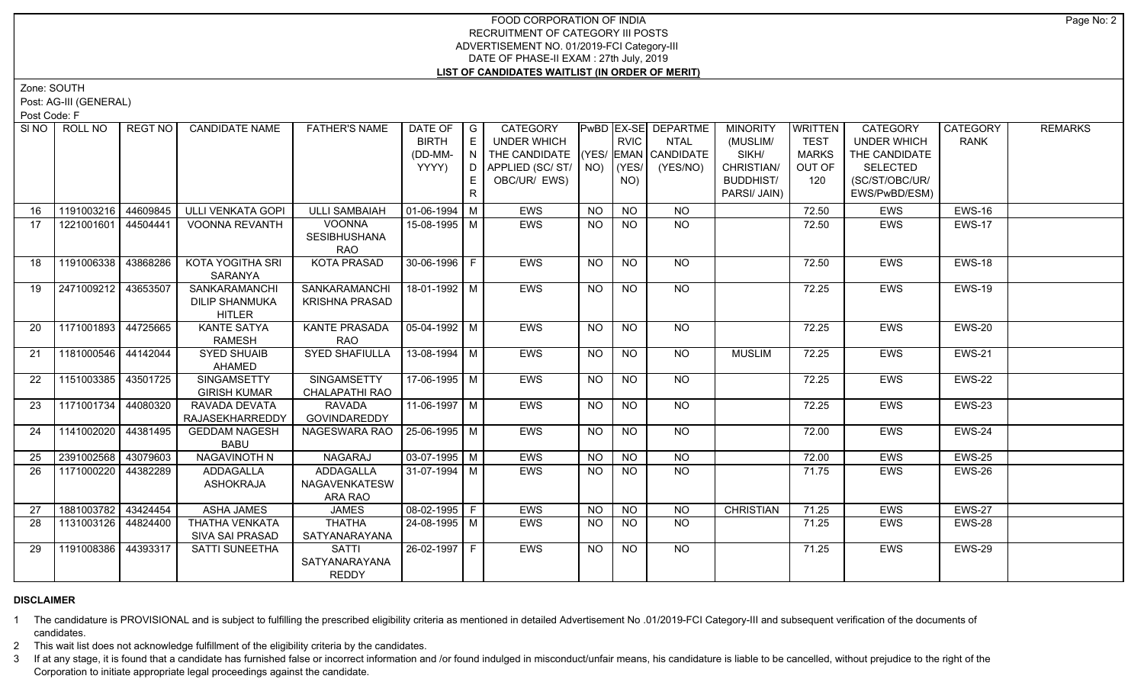## FOOD CORPORATION OF INDIA RECRUITMENT OF CATEGORY III POSTS ADVERTISEMENT NO. 01/2019-FCI Category-III DATE OF PHASE-II EXAM : 27th July, 2019 **LIST OF CANDIDATES WAITLIST (IN ORDER OF MERIT)**

Zone: SOUTH

Post: AG-III (GENERAL)

Post Code: F

| SI NO    | ROLL NO             | <b>REGT NO</b> | <b>CANDIDATE NAME</b>       | <b>FATHER'S NAME</b>           | DATE OF                | $\overline{\phantom{a}}$ G | CATEGORY                           |                |                  | PwBD EX-SE DEPARTME | <b>MINORITY</b>  | WRITTEN      | CATEGORY           | <b>CATEGORY</b> | <b>REMARKS</b> |
|----------|---------------------|----------------|-----------------------------|--------------------------------|------------------------|----------------------------|------------------------------------|----------------|------------------|---------------------|------------------|--------------|--------------------|-----------------|----------------|
|          |                     |                |                             |                                | <b>BIRTH</b>           | E.                         | UNDER WHICH                        |                | <b>RVIC</b>      | NTAL                | (MUSLIM/         | <b>TEST</b>  | <b>UNDER WHICH</b> | RANK            |                |
|          |                     |                |                             |                                | (DD-MM-                | N                          | THE CANDIDATE (YES/ EMAN CANDIDATE |                |                  |                     | SIKH/            | <b>MARKS</b> | THE CANDIDATE      |                 |                |
|          |                     |                |                             |                                | YYYY)                  | D I                        | APPLIED (SC/ST/ NO)                |                | (YES/            | (YES/NO)            | CHRISTIAN/       | OUT OF       | <b>SELECTED</b>    |                 |                |
|          |                     |                |                             |                                |                        | E.                         | OBC/UR/ EWS)                       |                | NO)              |                     | <b>BUDDHIST/</b> | 120          | (SC/ST/OBC/UR/     |                 |                |
|          |                     |                |                             |                                |                        | R.                         |                                    |                |                  |                     | PARSI/ JAIN)     |              | EWS/PwBD/ESM)      |                 |                |
| 16       | 1191003216 44609845 |                | <b>ULLI VENKATA GOPI</b>    | <b>ULLI SAMBAIAH</b>           | 01-06-1994   M         |                            | <b>EWS</b>                         | NO.            | <b>NO</b>        | <b>NO</b>           |                  | 72.50        | <b>EWS</b>         | <b>EWS-16</b>   |                |
| 17       | 1221001601 44504441 |                | <b>VOONNA REVANTH</b>       | <b>VOONNA</b>                  | 15-08-1995 M           |                            | <b>EWS</b>                         | NO             | $N$ O            | $N$ <sup>O</sup>    |                  | 72.50        | <b>EWS</b>         | <b>EWS-17</b>   |                |
|          |                     |                |                             | <b>SESIBHUSHANA</b>            |                        |                            |                                    |                |                  |                     |                  |              |                    |                 |                |
|          |                     |                |                             | <b>RAO</b>                     |                        |                            |                                    |                |                  |                     |                  |              |                    |                 |                |
| 18       | 1191006338 43868286 |                | <b>KOTA YOGITHA SRI</b>     | <b>KOTA PRASAD</b>             | 30-06-1996 F           |                            | <b>EWS</b>                         | NO             | <b>NO</b>        | NO                  |                  | 72.50        | <b>EWS</b>         | <b>EWS-18</b>   |                |
|          |                     |                | SARANYA                     |                                |                        |                            |                                    |                |                  |                     |                  |              |                    |                 |                |
| 19       | 2471009212 43653507 |                | SANKARAMANCHI               | SANKARAMANCHI                  | 18-01-1992 M           |                            | <b>EWS</b>                         | NO             | $N$ O            | N <sub>O</sub>      |                  | 72.25        | <b>EWS</b>         | <b>EWS-19</b>   |                |
|          |                     |                | <b>DILIP SHANMUKA</b>       | <b>KRISHNA PRASAD</b>          |                        |                            |                                    |                |                  |                     |                  |              |                    |                 |                |
|          |                     |                | <b>HITLER</b>               |                                |                        |                            |                                    |                |                  |                     |                  |              |                    |                 |                |
| 20       | 1171001893 44725665 |                | <b>KANTE SATYA</b>          | <b>KANTE PRASADA</b>           | 05-04-1992   M         |                            | <b>EWS</b>                         | NO.            | <b>NO</b>        | NO                  |                  | 72.25        | <b>EWS</b>         | EWS-20          |                |
|          |                     |                | <b>RAMESH</b>               | <b>RAO</b>                     |                        |                            |                                    |                |                  |                     |                  |              |                    |                 |                |
| 21       | 1181000546 44142044 |                | <b>SYED SHUAIB</b>          | <b>SYED SHAFIULLA</b>          | 13-08-1994   M         |                            | <b>EWS</b>                         | NO.            | NO.              | NO.                 | <b>MUSLIM</b>    | 72.25        | <b>EWS</b>         | <b>EWS-21</b>   |                |
|          |                     |                | AHAMED                      |                                |                        |                            |                                    |                |                  |                     |                  |              |                    |                 |                |
| 22       | 1151003385 43501725 |                | SINGAMSETTY                 | SINGAMSETTY                    | $17-06-1995$ M         |                            | <b>EWS</b>                         | NO.            | NO.              | NO                  |                  | 72.25        | <b>EWS</b>         | <b>EWS-22</b>   |                |
|          |                     |                | <b>GIRISH KUMAR</b>         | CHALAPATHI RAO                 |                        |                            |                                    |                |                  |                     |                  |              |                    |                 |                |
| 23       | 1171001734 44080320 |                | RAVADA DEVATA               | <b>RAVADA</b>                  | 11-06-1997   M         |                            | <b>EWS</b>                         | <b>NO</b>      | NO.              | NO.                 |                  | 72.25        | <b>EWS</b>         | EWS-23          |                |
|          |                     |                | RAJASEKHARREDDY             | GOVINDAREDDY                   |                        |                            |                                    |                |                  |                     |                  |              |                    | <b>EWS-24</b>   |                |
| 24       | 1141002020 44381495 |                | <b>GEDDAM NAGESH</b>        | NAGESWARA RAO   25-06-1995   M |                        |                            | <b>EWS</b>                         | <b>NO</b>      | <b>NO</b>        | NO                  |                  | 72.00        | EWS                |                 |                |
|          | 2391002568          | 43079603       | <b>BABU</b><br>NAGAVINOTH N | <b>NAGARAJ</b>                 | $\boxed{03-07-1995}$ M |                            | EWS                                | <b>NO</b>      | <b>NO</b>        | NO                  |                  | 72.00        | <b>EWS</b>         | EWS-25          |                |
| 25<br>26 | 1171000220 44382289 |                | ADDAGALLA                   | ADDAGALLA                      | $31-07-1994$ M         |                            | <b>EWS</b>                         | NO.            | NO.              | N <sub>O</sub>      |                  | 71.75        | <b>EWS</b>         | <b>EWS-26</b>   |                |
|          |                     |                | <b>ASHOKRAJA</b>            | NAGAVENKATESW                  |                        |                            |                                    |                |                  |                     |                  |              |                    |                 |                |
|          |                     |                |                             | ARA RAO                        |                        |                            |                                    |                |                  |                     |                  |              |                    |                 |                |
| 27       | 1881003782          | 43424454       | <b>ASHA JAMES</b>           | <b>JAMES</b>                   | $\boxed{08-02-1995}$ F |                            | EWS                                | <b>NO</b>      | $N$ <sup>O</sup> | $\overline{NO}$     | <b>CHRISTIAN</b> | 71.25        | <b>EWS</b>         | <b>EWS-27</b>   |                |
| 28       | 1131003126 44824400 |                | <b>THATHA VENKATA</b>       | <b>THATHA</b>                  | $24 - 08 - 1995$ M     |                            | <b>EWS</b>                         | N <sub>O</sub> | $N$ <sup>O</sup> | $\overline{NO}$     |                  | 71.25        | <b>EWS</b>         | <b>EWS-28</b>   |                |
|          |                     |                | <b>SIVA SAI PRASAD</b>      | SATYANARAYANA                  |                        |                            |                                    |                |                  |                     |                  |              |                    |                 |                |
| 29       | 1191008386 44393317 |                | SATTI SUNEETHA              | <b>SATTI</b>                   | $26 - 02 - 1997$ F     |                            | <b>EWS</b>                         | <b>NO</b>      | <b>NO</b>        | $N$ O               |                  | 71.25        | <b>EWS</b>         | <b>EWS-29</b>   |                |
|          |                     |                |                             | SATYANARAYANA                  |                        |                            |                                    |                |                  |                     |                  |              |                    |                 |                |
|          |                     |                |                             | <b>REDDY</b>                   |                        |                            |                                    |                |                  |                     |                  |              |                    |                 |                |
|          |                     |                |                             |                                |                        |                            |                                    |                |                  |                     |                  |              |                    |                 |                |

# **DISCLAIMER**

1 The candidature is PROVISIONAL and is subject to fulfilling the prescribed eligibility criteria as mentioned in detailed Advertisement No .01/2019-FCI Category-III and subsequent verification of the documents of candidates.

2 This wait list does not acknowledge fulfillment of the eligibility criteria by the candidates.

3 If at any stage, it is found that a candidate has furnished false or incorrect information and /or found indulged in misconduct/unfair means, his candidature is liable to be cancelled, without prejudice to the right of t Corporation to initiate appropriate legal proceedings against the candidate.

Page No: 2